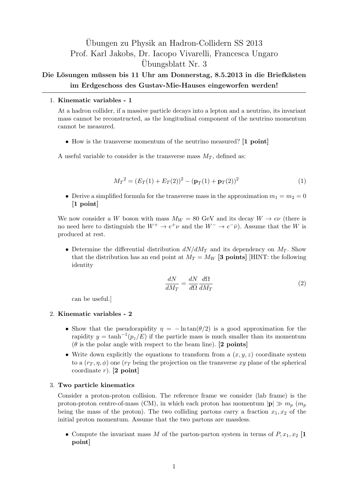# Ubungen zu Physik an Hadron-Collidern SS 2013 ¨ Prof. Karl Jakobs, Dr. Iacopo Vivarelli, Francesca Ungaro Ubungsblatt Nr. 3 ¨

# Die Lösungen müssen bis 11 Uhr am Donnerstag, 8.5.2013 in die Briefkästen **im Erdgeschoss des Gustav-Mie-Hauses eingeworfen werden!**

## 1. **Kinematic variables - 1**

At a hadron collider, if a massive particle decays into a lepton and a neutrino, its invariant mass cannot be reconstructed, as the longitudinal component of the neutrino momentum cannot be measured.

*•* How is the transverse momentum of the neutrino measured? **[1 point]**

A useful variable to consider is the transverse mass  $M_T$ , defined as:

$$
M_T^2 = (E_T(1) + E_T(2))^2 - (\mathbf{p}_T(1) + \mathbf{p}_T(2))^2
$$
\n(1)

• Derive a simplified formula for the transverse mass in the approximation  $m_1 = m_2 = 0$ **[1 point]**

We now consider a *W* boson with mass  $M_W = 80$  GeV and its decay  $W \rightarrow e\nu$  (there is no need here to distinguish the  $W^+ \to e^+ \nu$  and the  $W^- \to e^- \bar{\nu}$ ). Assume that the *W* is produced at rest.

• Determine the differential distribution  $dN/dM_T$  and its dependency on  $M_T$ . Show that the distribution has an end point at  $M_T = M_W$  [3 points] [HINT: the following identity

$$
\frac{dN}{dM_T} = \frac{dN}{d\Omega} \frac{d\Omega}{dM_T} \tag{2}
$$

can be useful.]

### 2. **Kinematic variables - 2**

- Show that the pseudorapidity  $\eta = -\ln \tan(\theta/2)$  is a good approximation for the rapidity  $y = \tanh^{-1}(p_z/E)$  if the particle mass is much smaller than its momentum  $(\theta$  is the polar angle with respect to the beam line). **[2 points]**
- Write down explicitly the equations to transform from a  $(x, y, z)$  coordinate system to a  $(r<sub>T</sub>, \eta, \phi)$  one  $(r<sub>T</sub>$  being the projection on the transverse xy plane of the spherical coordinate *r*). **[2 point]**

### 3. **Two particle kinematics**

Consider a proton-proton collision. The reference frame we consider (lab frame) is the proton-proton centre-of-mass (CM), in which each proton has momentum  $|\mathbf{p}| \gg m_p$  ( $m_p$ ) being the mass of the proton). The two colliding partons carry a fraction  $x_1, x_2$  of the initial proton momentum. Assume that the two partons are massless.

• Compute the invariant mass *M* of the parton-parton system in terms of  $P, x_1, x_2$  [1 **point]**